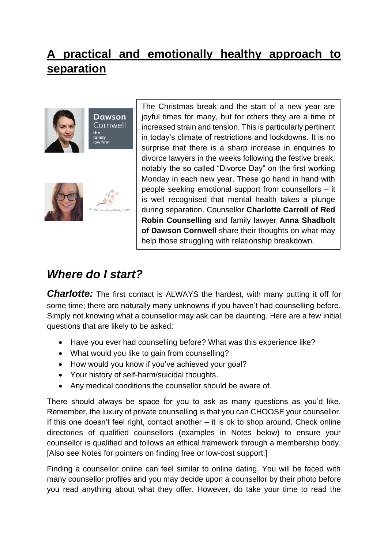### **A practical and emotionally healthy approach to separation**



**Dawson** Cornwell the<br>family law firm



The Christmas break and the start of a new year are joyful times for many, but for others they are a time of increased strain and tension. This is particularly pertinent in today's climate of restrictions and lockdowns. It is no surprise that there is a sharp increase in enquiries to divorce lawyers in the weeks following the festive break; notably the so called "Divorce Day" on the first working Monday in each new year. These go hand in hand with people seeking emotional support from counsellors – it is well recognised that mental health takes a plunge during separation. Counsellor **Charlotte Carroll of Red Robin Counselling** and family lawyer **Anna Shadbolt of Dawson Cornwell** share their thoughts on what may help those struggling with relationship breakdown.

## *Where do I start?*

**Charlotte:** The first contact is ALWAYS the hardest, with many putting it off for some time; there are naturally many unknowns if you haven't had counselling before. Simply not knowing what a counsellor may ask can be daunting. Here are a few initial questions that are likely to be asked:

- Have you ever had counselling before? What was this experience like?
- What would you like to gain from counselling?
- How would you know if you've achieved your goal?
- Your history of self-harm/suicidal thoughts.
- Any medical conditions the counsellor should be aware of.

There should always be space for you to ask as many questions as you'd like. Remember, the luxury of private counselling is that you can CHOOSE your counsellor. If this one doesn't feel right, contact another – it is ok to shop around. Check online directories of qualified counsellors (examples in Notes below) to ensure your counsellor is qualified and follows an ethical framework through a membership body. [Also see Notes for pointers on finding free or low-cost support.]

Finding a counsellor online can feel similar to online dating. You will be faced with many counsellor profiles and you may decide upon a counsellor by their photo before you read anything about what they offer. However, do take your time to read the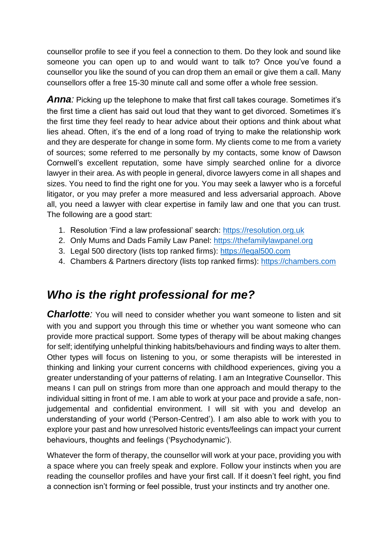counsellor profile to see if you feel a connection to them. Do they look and sound like someone you can open up to and would want to talk to? Once you've found a counsellor you like the sound of you can drop them an email or give them a call. Many counsellors offer a free 15-30 minute call and some offer a whole free session.

**Anna**: Picking up the telephone to make that first call takes courage. Sometimes it's the first time a client has said out loud that they want to get divorced. Sometimes it's the first time they feel ready to hear advice about their options and think about what lies ahead. Often, it's the end of a long road of trying to make the relationship work and they are desperate for change in some form. My clients come to me from a variety of sources; some referred to me personally by my contacts, some know of Dawson Cornwell's excellent reputation, some have simply searched online for a divorce lawyer in their area. As with people in general, divorce lawyers come in all shapes and sizes. You need to find the right one for you. You may seek a lawyer who is a forceful litigator, or you may prefer a more measured and less adversarial approach. Above all, you need a lawyer with clear expertise in family law and one that you can trust. The following are a good start:

- 1. Resolution 'Find a law professional' search: [https://resolution.org.uk](https://resolution.org.uk/)
- 2. Only Mums and Dads Family Law Panel: [https://thefamilylawpanel.org](https://thefamilylawpanel.org/)
- 3. Legal 500 directory (lists top ranked firms): [https://legal500.com](https://legal500.com/)
- 4. Chambers & Partners directory (lists top ranked firms): [https://chambers.com](https://chambers.com/)

### *Who is the right professional for me?*

**Charlotte**: You will need to consider whether you want someone to listen and sit with you and support you through this time or whether you want someone who can provide more practical support. Some types of therapy will be about making changes for self; identifying unhelpful thinking habits/behaviours and finding ways to alter them. Other types will focus on listening to you, or some therapists will be interested in thinking and linking your current concerns with childhood experiences, giving you a greater understanding of your patterns of relating. I am an Integrative Counsellor. This means I can pull on strings from more than one approach and mould therapy to the individual sitting in front of me. I am able to work at your pace and provide a safe, nonjudgemental and confidential environment. I will sit with you and develop an understanding of your world ('Person-Centred'). I am also able to work with you to explore your past and how unresolved historic events/feelings can impact your current behaviours, thoughts and feelings ('Psychodynamic').

Whatever the form of therapy, the counsellor will work at your pace, providing you with a space where you can freely speak and explore. Follow your instincts when you are reading the counsellor profiles and have your first call. If it doesn't feel right, you find a connection isn't forming or feel possible, trust your instincts and try another one.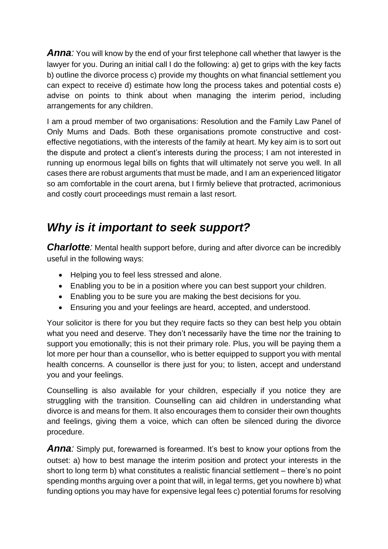**Anna**: You will know by the end of your first telephone call whether that lawyer is the lawyer for you. During an initial call I do the following: a) get to grips with the key facts b) outline the divorce process c) provide my thoughts on what financial settlement you can expect to receive d) estimate how long the process takes and potential costs e) advise on points to think about when managing the interim period, including arrangements for any children.

I am a proud member of two organisations: Resolution and the Family Law Panel of Only Mums and Dads. Both these organisations promote constructive and costeffective negotiations, with the interests of the family at heart. My key aim is to sort out the dispute and protect a client's interests during the process; I am not interested in running up enormous legal bills on fights that will ultimately not serve you well. In all cases there are robust arguments that must be made, and I am an experienced litigator so am comfortable in the court arena, but I firmly believe that protracted, acrimonious and costly court proceedings must remain a last resort.

#### *Why is it important to seek support?*

**Charlotte**: Mental health support before, during and after divorce can be incredibly useful in the following ways:

- Helping you to feel less stressed and alone.
- Enabling you to be in a position where you can best support your children.
- Enabling you to be sure you are making the best decisions for you.
- Ensuring you and your feelings are heard, accepted, and understood.

Your solicitor is there for you but they require facts so they can best help you obtain what you need and deserve. They don't necessarily have the time nor the training to support you emotionally; this is not their primary role. Plus, you will be paying them a lot more per hour than a counsellor, who is better equipped to support you with mental health concerns. A counsellor is there just for you; to listen, accept and understand you and your feelings.

Counselling is also available for your children, especially if you notice they are struggling with the transition. Counselling can aid children in understanding what divorce is and means for them. It also encourages them to consider their own thoughts and feelings, giving them a voice, which can often be silenced during the divorce procedure.

**Anna**: Simply put, forewarned is forearmed. It's best to know your options from the outset: a) how to best manage the interim position and protect your interests in the short to long term b) what constitutes a realistic financial settlement – there's no point spending months arguing over a point that will, in legal terms, get you nowhere b) what funding options you may have for expensive legal fees c) potential forums for resolving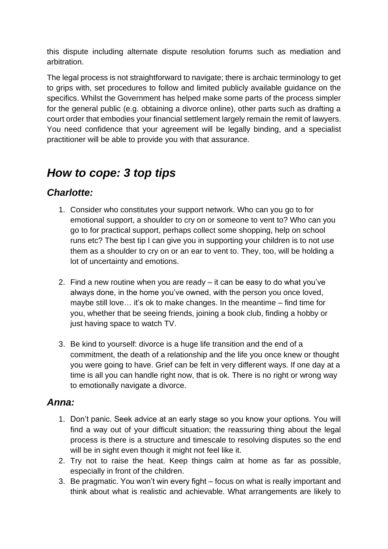this dispute including alternate dispute resolution forums such as mediation and arbitration.

The legal process is not straightforward to navigate; there is archaic terminology to get to grips with, set procedures to follow and limited publicly available guidance on the specifics. Whilst the Government has helped make some parts of the process simpler for the general public (e.g. obtaining a divorce online), other parts such as drafting a court order that embodies your financial settlement largely remain the remit of lawyers. You need confidence that your agreement will be legally binding, and a specialist practitioner will be able to provide you with that assurance.

## *How to cope: 3 top tips*

#### *Charlotte:*

- 1. Consider who constitutes your support network. Who can you go to for emotional support, a shoulder to cry on or someone to vent to? Who can you go to for practical support, perhaps collect some shopping, help on school runs etc? The best tip I can give you in supporting your children is to not use them as a shoulder to cry on or an ear to vent to. They, too, will be holding a lot of uncertainty and emotions.
- 2. Find a new routine when you are ready it can be easy to do what you've always done, in the home you've owned, with the person you once loved, maybe still love… it's ok to make changes. In the meantime – find time for you, whether that be seeing friends, joining a book club, finding a hobby or just having space to watch TV.
- 3. Be kind to yourself: divorce is a huge life transition and the end of a commitment, the death of a relationship and the life you once knew or thought you were going to have. Grief can be felt in very different ways. If one day at a time is all you can handle right now, that is ok. There is no right or wrong way to emotionally navigate a divorce.

#### *Anna:*

- 1. Don't panic. Seek advice at an early stage so you know your options. You will find a way out of your difficult situation; the reassuring thing about the legal process is there is a structure and timescale to resolving disputes so the end will be in sight even though it might not feel like it.
- 2. Try not to raise the heat. Keep things calm at home as far as possible, especially in front of the children.
- 3. Be pragmatic. You won't win every fight focus on what is really important and think about what is realistic and achievable. What arrangements are likely to